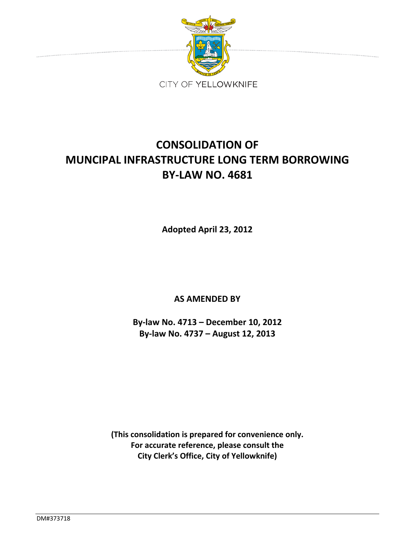

# **CONSOLIDATION OF MUNCIPAL INFRASTRUCTURE LONG TERM BORROWING BY‐LAW NO. 4681**

**Adopted April 23, 2012**

**AS AMENDED BY**

**By‐law No. 4713 – December 10, 2012 By‐law No. 4737 – August 12, 2013**

**(This consolidation is prepared for convenience only. For accurate reference, please consult the City Clerk's Office, City of Yellowknife)**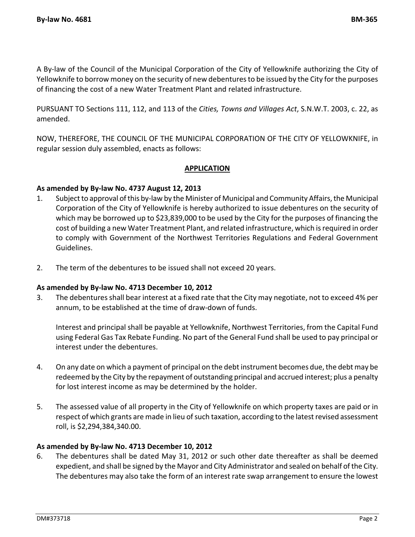A By‐law of the Council of the Municipal Corporation of the City of Yellowknife authorizing the City of Yellowknife to borrow money on the security of new debentures to be issued by the City for the purposes of financing the cost of a new Water Treatment Plant and related infrastructure.

PURSUANT TO Sections 111, 112, and 113 of the *Cities, Towns and Villages Act*, S.N.W.T. 2003, c. 22, as amended.

NOW, THEREFORE, THE COUNCIL OF THE MUNICIPAL CORPORATION OF THE CITY OF YELLOWKNIFE, in regular session duly assembled, enacts as follows:

# **APPLICATION**

# **As amended by By‐law No. 4737 August 12, 2013**

- 1. Subject to approval of this by-law by the Minister of Municipal and Community Affairs, the Municipal Corporation of the City of Yellowknife is hereby authorized to issue debentures on the security of which may be borrowed up to \$23,839,000 to be used by the City for the purposes of financing the cost of building a new Water Treatment Plant, and related infrastructure, which isrequired in order to comply with Government of the Northwest Territories Regulations and Federal Government Guidelines.
- 2. The term of the debentures to be issued shall not exceed 20 years.

### **As amended by By‐law No. 4713 December 10, 2012**

3. The debentures shall bear interest at a fixed rate that the City may negotiate, not to exceed 4% per annum, to be established at the time of draw-down of funds.

Interest and principal shall be payable at Yellowknife, Northwest Territories, from the Capital Fund using Federal Gas Tax Rebate Funding. No part of the General Fund shall be used to pay principal or interest under the debentures.

- 4. On any date on which a payment of principal on the debt instrument becomes due, the debt may be redeemed by the City by the repayment of outstanding principal and accrued interest; plus a penalty for lost interest income as may be determined by the holder.
- 5. The assessed value of all property in the City of Yellowknife on which property taxes are paid or in respect of which grants are made in lieu of such taxation, according to the latest revised assessment roll, is \$2,294,384,340.00.

### **As amended by By‐law No. 4713 December 10, 2012**

6. The debentures shall be dated May 31, 2012 or such other date thereafter as shall be deemed expedient, and shall be signed by the Mayor and City Administrator and sealed on behalf of the City. The debentures may also take the form of an interest rate swap arrangement to ensure the lowest